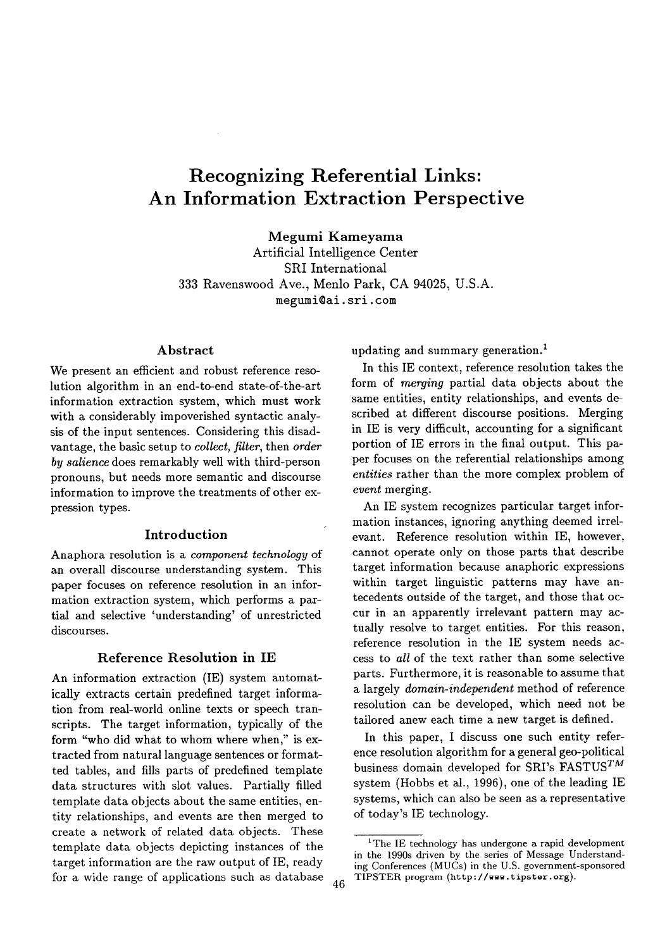# **Recognizing Referential Links: An Information Extraction Perspective**

**Megumi Kameyama** 

Artificial Intelligence Center SRI International 333 Ravenswood Ave., Menlo Park, CA 94025, U.S.A. megumi@ai, sri. **tom** 

#### **Abstract**

We present an efficient and robust reference resolution algorithm in an end-to-end state-of-the-art information extraction system, which must work with a considerably impoverished syntactic analysis of the input sentences. Considering this disadvantage, the basic setup to *collect, filter,* then *order by salience* does remarkably well with third-person pronouns, but needs more semantic and discourse information to improve the treatments of other expression types.

#### **Introduction**

Anaphora resolution is a *component technology* of an overall discourse understanding system. This paper focuses on reference resolution in an information extraction system, which performs a partial and selective 'understanding' of unrestricted discourses.

#### **Reference Resolution in IE**

An information extraction (IE) system automatically extracts certain predefined target information from real-world online texts or speech transcripts. The target information, typically of the form "who did what to whom where when," is extracted from natural language sentences or formatted tables, and fills parts of predefined template data structures with slot values. Partially filled template data objects about the same entities, entity relationships, and events are then merged to create a network of related data objects. These template data objects depicting instances of the target information are the raw output of IE, ready for a wide range of applications such as database  $46$ 

updating and summary generation.<sup>1</sup>

In this IE context, reference resolution takes the form of *merging* partial data objects about the same entities, entity relationships, and events described at different discourse positions. Merging in IE is very difficult, accounting for a significant portion of IE errors in the final output. This paper focuses on the referential relationships among *entities* rather than the more complex problem of *event* merging.

An IE system recognizes particular target information instances, ignoring anything deemed irrelevant. Reference resolution within IE, however, cannot operate only on those parts that describe target information because anaphoric expressions within target linguistic patterns may have antecedents outside of the target, and those that occur in an apparently irrelevant pattern may actually resolve to target entities. For this reason, reference resolution in the IE system needs access to *all* of the text rather than some selective parts. Furthermore, it is reasonable to assume that a largely *domain-independent* method of reference resolution can be developed, which need not be tailored anew each time a new target is defined.

In this paper, I discuss one such entity reference resolution algorithm for a general geo-political business domain developed for SRI's FASTUS<sup>TM</sup> system (Hobbs et al., 1996), one of the leading IE systems, which can also be seen as a representative of today's IE technology.

<sup>&</sup>lt;sup>1</sup>The IE technology has undergone a rapid development in the 1990s driven by the series of Message Understanding Conferences (MUCs) in the U.S. government-sponsored TIPSTER program (http ://www. tipster, org).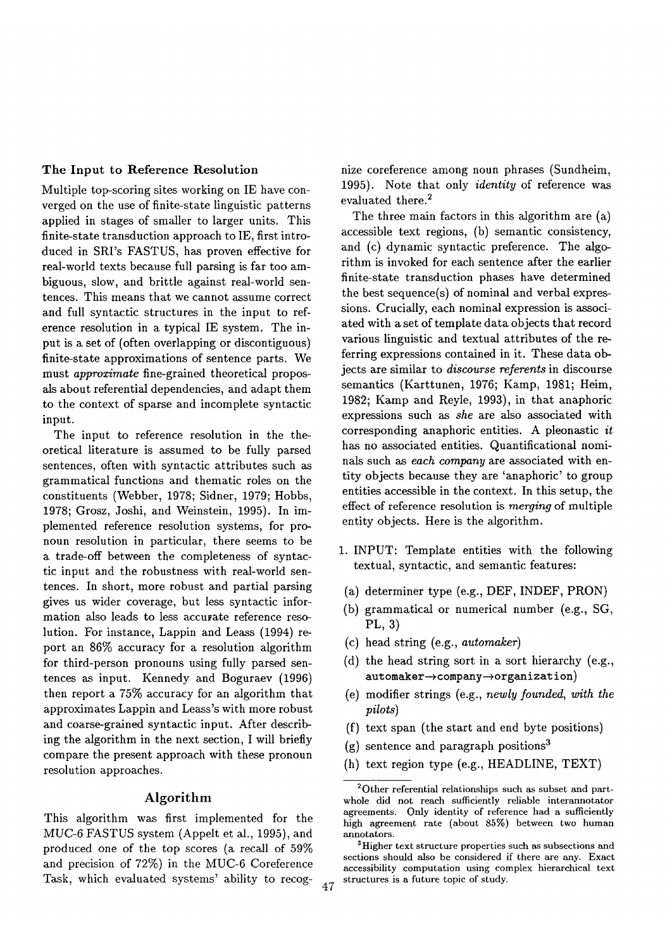## The Input to Reference Resolution

Multiple top-scoring sites working on IE have converged on the use of finite-state linguistic patterns applied in stages of smaller to larger units. This finite-state transduction approach to IE, first introduced in SRI's FASTUS, has proven effective for real-world texts because full parsing is far too ambiguous, slow, and brittle against real-world sentences. This means that we cannot assume correct and full syntactic structures in the input to reference resolution in a typical IE system. The input is a set of (often overlapping or discontiguous) finite-state approximations of sentence parts. We must *approximate* fine-grained theoretical proposals about referential dependencies, and adapt them to the context of sparse and incomplete syntactic input.

The input to reference resolution in the theoretical literature is assumed to be fully parsed sentences, often with syntactic attributes such as grammatical functions and thematic roles on the constituents (Webber, 1978; Sidner, 1979; Hobbs, 1978; Grosz, Joshi, and Weinstein, 1995). In implemented reference resolution systems, for pronoun resolution in particular, there seems to be a trade-off between the completeness of syntactic input and the robustness with real-world sentences. In short, more robust and partial parsing gives us wider coverage, but less syntactic information also leads to less accuyate reference resolution. For instance, Lappin and Leass (1994) report an 86% accuracy for a resolution algorithm for third-person pronouns using fully parsed sentences as input. Kennedy and Boguraev (1996) then report a 75% accuracy for an algorithm that approximates Lappin and Leass's with more robust and coarse-grained syntactic input. After describing the algorithm in the next section, I will briefly compare the present approach with these pronoun resolution approaches.

# **Algorithm**

This algorithm was first implemented for the *MUC-6* FASTUS system (Appelt et al., 1995), and produced one of the top scores (a recall of 59% and precision of 72%) in the MUC-6 Coreference Task, which evaluated systems' ability to recog- 47 nize coreference among noun phrases (Sundheim, 1995). Note that only *identity* of reference was evaluated there.<sup>2</sup>

The three main factors in this algorithm are (a) accessible text regions, (b) semantic consistency, and (c) dynamic syntactic preference. The algorithm is invoked for each sentence after the earlier finite-state transduction phases have determined the best sequence(s) of nominal and verbal expressions. Crucially, each nominal expression is associated with a set of template data objects that record various linguistic and textual attributes of the referring expressions contained in it. These data objects are similar to *discourse referents* in discourse semantics (Karttunen, 1976; Kamp, 1981; Heim, 1982; Kamp and Reyle, 1993), in that anaphoric expressions such as *she* are also associated with corresponding anaphoric entities. A pleonastic *it*  has no associated entities. Quantificational nominals such as *each company* are associated with entity objects because they are 'anaphoric' to group entities accessible in the context. In this setup, the effect of reference resolution is *merging* of multiple entity objects. Here is the algorithm.

- 1. INPUT: Template entities with the following textual, syntactic, and semantic features:
- (a) determiner type (e.g., DEF, INDEF, PRON)
- (b) grammatical or numerical number (e.g., SG, PL, 3)
- (c) head string (e.g., *automaker)*
- (d) the head string sort in a sort hierarchy (e.g.,  $automaker \rightarrow company \rightarrow organization)$
- (e) modifier strings (e.g., *newly founded, with the pilots)*
- (f) text span (the start and end byte positions)
- $(g)$  sentence and paragraph positions<sup>3</sup>
- (h) text region type (e.g., HEADLINE, TEXT)

<sup>2</sup>Other referential relationships such as subset and partwhole did not reach sufficiently reliable interannotator agreements. Only identity of reference had a sufficiently high agreement rate (about 85%) between two human annotators.

<sup>&</sup>lt;sup>3</sup>Higher text structure properties such as subsections and sections should also be considered if there are any. Exact accessibility computation using complex hierarchical text structures is a future topic of study.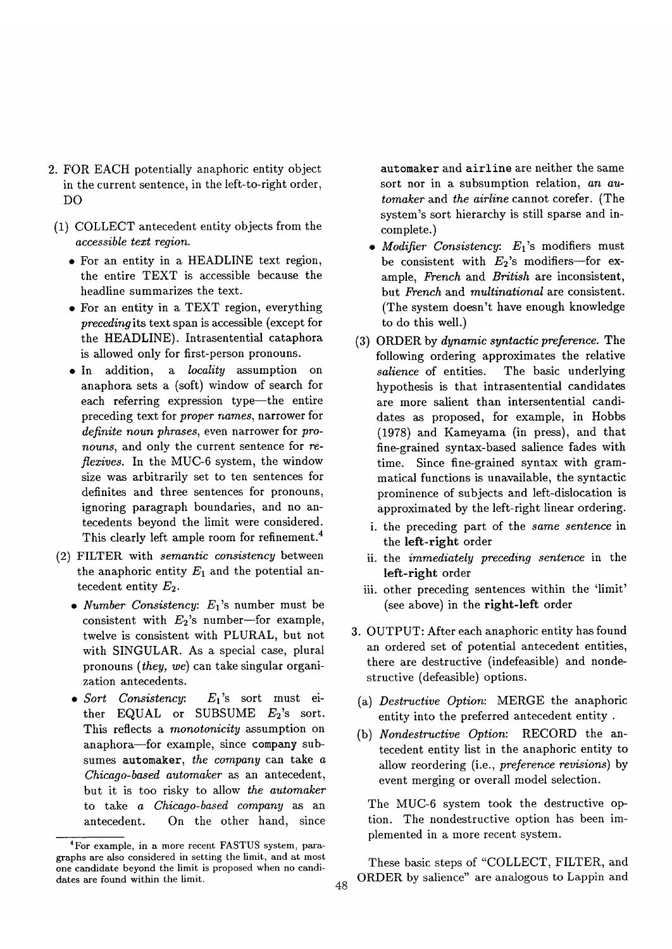- 2. FOR EACH potentially anaphoric entity object in the current sentence, in the left-to-right order, DO
- (1) COLLECT antecedent entity objects from the *accessible text region.* 
	- For an entity in a HEADLINE text region, the entire TEXT is accessible because the headline summarizes the text.
	- For an entity in a TEXT region, everything *preceding* its text span is accessible (except for the HEADLINE). Intrasentential cataphora is allowed only for first-person pronouns.
	- In addition, a *locality* assumption on anaphora sets a (soft) window of search for each referring expression type-the entire preceding text for *proper names,* narrower for *definite noun phrases,* even narrower for *pronouns,* and only the current sentence for *reflexives.* In the MUC-6 system, the window size was arbitrarily set to ten sentences for definites and three sentences for pronouns, ignoring paragraph boundaries, and no antecedents beyond the limit were considered. This clearly left ample room for refinement.<sup>4</sup>
- (2) FILTER with *semantic consistency* between the anaphoric entity  $E_1$  and the potential antecedent entity  $E_2$ .
	- *Number Consistency: El's* number must be consistent with  $E_2$ 's number--for example, twelve is consistent with PLURAL, but not with SINGULAR. As a special case, plural pronouns *(they, we)* can take singular organization antecedents.
	- Sort Consistency:  $E_1$ 's sort must either EQUAL or SUBSUME  $E_2$ 's sort. This reflects a *monotonicity* assumption on anaphora-for example, since company subsumes automaker, *the company* can take a *Chicago-based automaker as* an antecedent, but it is too risky to allow *the automaker*  to take *a Chicago-based company as* an antecedent. On the other hand, since

automaker and airline are neither the same sort nor in a subsumption relation, *an automaker* and *the airline* cannot corefer. (The system's sort hierarchy is still sparse and incomplete.)

- Modifier Consistency: E<sub>1</sub>'s modifiers must be consistent with  $E_2$ 's modifiers-for example, *French* and *British* are inconsistent, but *French* and *multinational* are consistent. (The system doesn't have enough knowledge to do this well.)
- (3) ORDER by *dynamic syntactic preference.* The following ordering approximates the relative *salience* of entities. The basic underlying hypothesis is that intrasentential candidates are more salient than intersentential candidates as proposed, for example, in Hobbs (1978) and Kameyama (in press), and that fine-grained syntax-based salience fades with time. Since fine-grained syntax with grammatical functions is unavailable, the syntactic prominence of subjects and left-dislocation is approximated by the left-right linear ordering.
	- i. the preceding part of the *same sentence* in the left-right order
	- ii. the *immediately preceding sentence* in the left-right order
	- iii. other preceding sentences within the 'limit' (see above) in the right-left order
- 3. OUTPUT: After each anaphoric entity has found an ordered set of potential antecedent entities, there are destructive (indefeasible) and nondestructive (defeasible) options.
- (a) *Destructive Option:* MERGE the anaphoric entity into the preferred antecedent entity .
- (b) *Nondestructive Option:* RECORD the antecedent entity list in the anaphoric entity to allow reordering (i.e., *preference revisions)* by event merging or overall model selection.

The MUC-6 system took the destructive option. The nondestructive option has been implemented in a more recent system.

These basic steps of "COLLECT, FILTER, and ORDER by salience" are analogous to Lappin and

<sup>4</sup>For example, in a more recent FASTUS system, paragraphs are also considered in setting the limit, and at most one candidate beyond the limit is proposed when no candidates are found within the limit. 48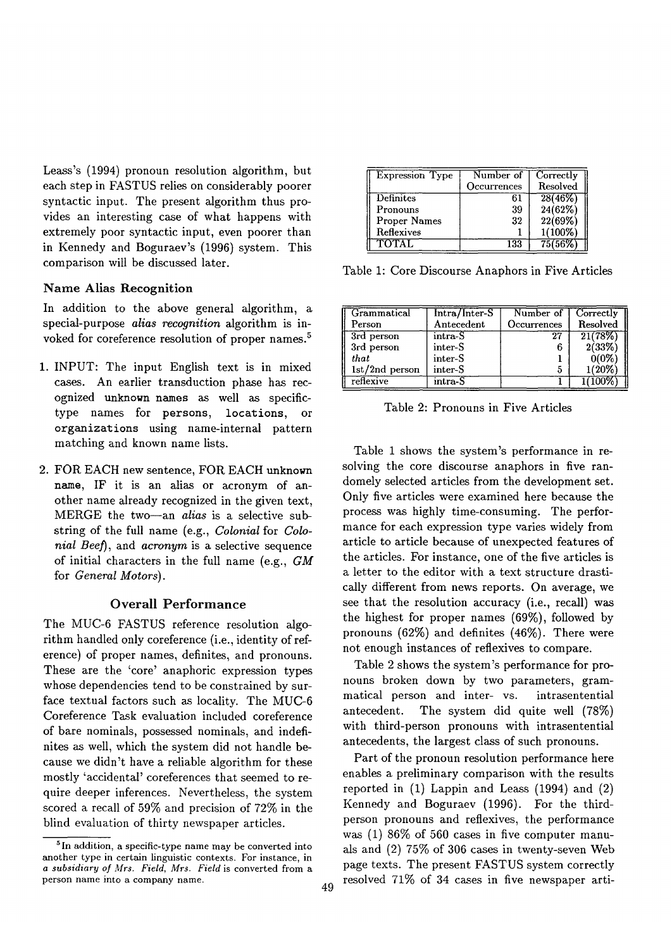Leass's (1994) pronoun resolution algorithm, but each step in FASTUS relies on considerably poorer syntactic input. The present algorithm thus provides an interesting case of what happens with extremely poor syntactic input, even poorer than in Kennedy and Boguraev's (1996) system. This comparison will be discussed later.

# **Name Alias Recognition**

In addition to the above general algorithm, a special-purpose *alias recognition* algorithm is invoked for coreference resolution of proper names. 5

- 1. INPUT: The input English text is in mixed cases. An earlier transduction phase has recognized unknown names as well as specifictype names for persons, locations, or organizations using name-internal pattern matching and known name lists.
- 2. FOR EACH new sentence, FOR EACH unknown **name,** IF it is an alias or acronym of another name already recognized in the given text, MERGE the two--an *alias* is a selective substring of the full name (e.g., *Colonial* for *Colonial Beef*), and *acronym* is a selective sequence of initial characters in the full name (e.g., *GM*  for *General Motors).*

# Overall Performance

The MUC-6 FASTUS reference resolution algorithm handled only coreference (i.e., identity of reference) of proper names, definites, and pronouns. These are the 'core' anaphoric expression types whose dependencies tend to be constrained by surface textual factors such as locality. The MUC-6 Coreference Task evaluation included coreference of bare nominals, possessed nominals, and indefinites as well, which the system did not handle because we didn't have a reliable algorithm for these mostly 'accidental' coreferences that seemed to require deeper inferences. Nevertheless, the system scored a recall of 59% and precision of 72% in the blind evaluation of thirty newspaper articles.

| <b>Expression Type</b> | Number of   | Correctly  |
|------------------------|-------------|------------|
|                        | Occurrences | Resolved   |
| <b>Definites</b>       | 61          | 28(46%)    |
| Pronouns               | 39          | 24(62%)    |
| <b>Proper Names</b>    | 32          | 22(69%)    |
| Reflexives             |             | $1(100\%)$ |
| <b>TOTAL</b>           | 133         | 75/56%     |

Table 1: Core Discourse Anaphors in Five Articles

| Grammatical      | Intra/Inter-S | Number of   | Correctly |
|------------------|---------------|-------------|-----------|
| Person           | Antecedent    | Occurrences | Resolved  |
| 3rd person       | intra-S       | 27          | 21(78%    |
| 3rd person       | inter-S       |             | 2(33%     |
| that             | inter-S       |             | $0(0\%$   |
| $1st/2nd$ person | inter-S       |             | 1(20%`    |
| reflexive        | intra-S       |             |           |

Table 2: Pronouns in Five Articles

Table 1 shows the system's performance in resolving the core discourse anaphors in five randomely selected articles from the development set. Only five articles were examined here because the process was highly time-consuming. The performance for each expression type varies widely from article to article because of unexpected features of the articles. For instance, one of the five articles is a letter to the editor with a text structure drastically different from news reports. On average, we see that the resolution accuracy (i.e., recall) was the highest for proper names (69%), followed by pronouns (62%) and definites (46%). There were not enough instances of reflexives to compare.

Table 2 shows the system's performance for pronouns broken down by two parameters, grammatical person and inter- vs. intrasentential antecedent. The system did quite well (78%) with third-person pronouns with intrasentential antecedents, the largest class of such pronouns.

Part of the pronoun resolution performance here enables a preliminary comparison with the results reported in (1) Lappin and Leass (1994) and (2) Kennedy and Boguraev (1996). For the thirdperson pronouns and reflexives, the performance was (1) 86% of 560 cases in five computer manuals and (2) 75% of 306 cases in twenty-seven Web page texts. The present FASTUS system correctly resolved 71% of 34 cases in five newspaper arti-

<sup>&</sup>lt;sup>5</sup> In addition, a specific-type name may be converted into another type in certain linguistic contexts. For instance, in *a subsidiary of Mrs. Field, Mrs. Field* is converted from a person name into a company name.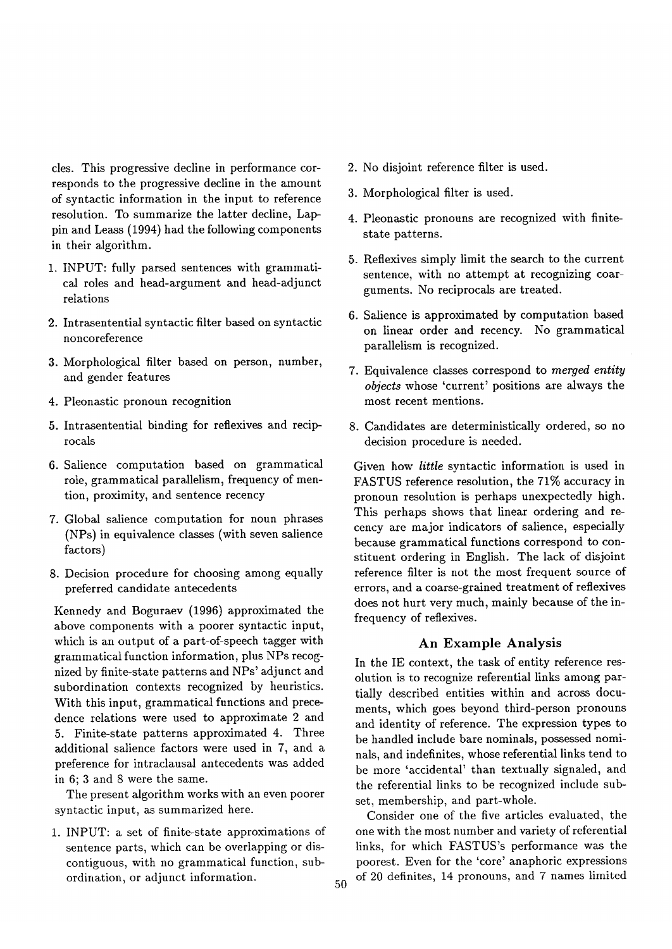cles. This progressive decline in performance corresponds to the progressive decline in the amount of syntactic information in the input to reference resolution. To summarize the latter decline, Lap- pin and Leass (1994) had the following components in their algorithm.

- 1. INPUT: fully parsed sentences with grammatical roles and head-argument and head-adjunct relations
- 2. Intrasentential syntactic filter based on syntactic noncoreference
- 3. Morphological filter based on person, number, and gender features
- 4. Pleonastic pronoun recognition
- 5. Intrasentential binding for reflexives and reciprocals
- 6. Salience computation based on grammatical role, grammatical parallelism, frequency of mention, proximity, and sentence recency
- 7. Global salience computation for noun phrases (NPs) in equivalence classes (with seven salience factors)
- 8. Decision procedure for choosing among equally preferred candidate antecedents

Kennedy and Boguraev (1996) approximated the above components with a poorer syntactic input, which is an output of a part-of-speech tagger with grammatical function information, plus NPs recognized by finite-state patterns and NPs' adjunct and subordination contexts recognized by heuristics. With this input, grammatical functions and precedence relations were used to approximate 2 and 5. Finite-state patterns approximated 4. Three additional salience factors were used in 7, and a preference for intraclausal antecedents was added in 6; 3 and 8 were the same.

The present algorithm works with an even poorer syntactic input, as summarized here.

1. INPUT: a set of finite-state approximations of sentence parts, which can be overlapping or discontiguous, with no grammatical function, subordination, or adjunct information.

- . No disjoint reference filter is used.
- 3. Morphological filter is used.
- 4. Pleonastic pronouns are recognized with finitestate patterns.
- . Reflexives simply limit the search to the current sentence, with no attempt at recognizing coarguments. No reciprocals are treated.
- **.** Salience is approximated by computation based on linear order and recency. No grammatical parallelism is recognized.
- . Equivalence classes correspond to *merged entity objects* whose 'current' positions are always the most recent mentions.
- 8. Candidates are deterministically ordered, so no decision procedure is needed.

Given how *little* syntactic information is used in FASTUS reference resolution, the 71% accuracy in pronoun resolution is perhaps unexpectedly high. This perhaps shows that linear ordering and recency are major indicators of salience, especially because grammatical functions correspond to constituent ordering in English. The lack of disjoint reference filter is not the most frequent source of errors, and a coarse-grained treatment of reflexives does not hurt very much, mainly because of the infrequency of reflexives.

# **An Example Analysis**

In the IE context, the task of entity reference resolution is to recognize referential links among partially described entities within and across documents, which goes beyond third-person pronouns and identity of reference. The expression types to be handled include bare nominals, possessed nominals, and indefinites, whose referential links tend to be more 'accidental' than textually signaled, and the referential links to be recognized include subset, membership, and part-whole.

Consider one of the five articles evaluated, the one with the most number and variety of referential links, for which FASTUS's performance was the poorest. Even for the 'core' anaphoric expressions of 20 definites, 14 pronouns, and 7 names limited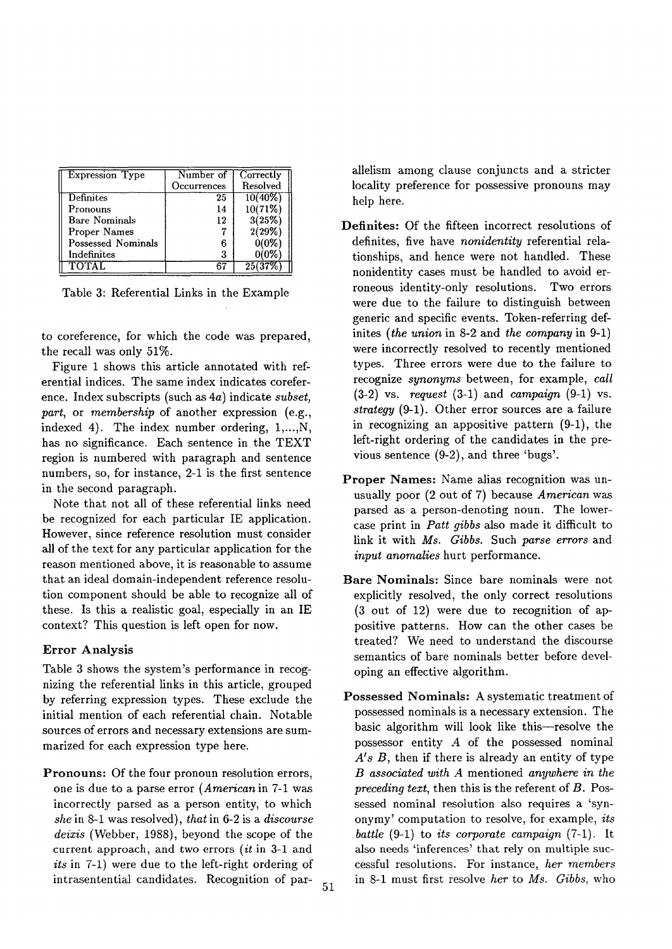| <b>Expression Type</b> | Number of   | Correctly |
|------------------------|-------------|-----------|
|                        | Occurrences | Resolved  |
| Definites              | 25          | 10(40%    |
| Pronouns               | 14          | 10(71%)   |
| <b>Bare Nominals</b>   | 12          | 3(25%)    |
| Proper Names           |             | 2(29%)    |
| Possessed Nominals     |             | 0(0%      |
| Indefinites            | 3           | 0(0%      |
| TOTAL.                 |             |           |

Table 3: Referential Links in the Example

to coreference, for which the code was prepared, the recall was only 51%.

Figure 1 shows this article annotated with referential indices. The same index indicates coreference. Index subscripts (such as 4a) indicate *subset, part,* or *membership* of another expression (e.g., indexed 4). The index number ordering, 1,...,N, has no significance. Each sentence in the TEXT region is numbered with paragraph and sentence numbers, so, for instance, 2-1 is the first sentence in the second paragraph.

Note that not all of these referential links need be recognized for each particular IE application. However, since reference resolution must consider all of the text for any particular application for the reason mentioned above, it is reasonable to assume that an ideal domain-independent reference resolution component should be able to recognize all of these. Is this a realistic goal, especially in an IE context? This question is left open for now.

## Error **Analysis**

Table 3 shows the system's performance in recognizing the referential links in this article, grouped by referring expression types. These exclude the initial mention of each referential chain. Notable sources of errors and necessary extensions are summarized for each expression type here.

Pronouns: Of the four pronoun resolution errors, one is due to a parse error *(American* in 7-1 was incorrectly parsed as a person entity, to which *she* in 8-1 was resolved), *that* in 6-2 is a *discourse deixis* (Webber, 1988), beyond the scope of the current approach, and two errors *(it* in 3-1 and *its* in 7-1) were due to the left-right ordering of intrasentential candidates. Recognition of par- $_{51}$  allelism among clause conjuncts and a stricter locality preference for possessive pronouns may help here.

- Definites: Of the fifteen incorrect resolutions of definites, five have *nonidentity* referential relationships, and hence were not handled. These nonidentity cases must be handled to avoid erroneous identity-only resolutions. Two errors were due to the failure to distinguish between generic and specific events. Token-referring definites *(the union* in 8-2 and *the company* in 9-1) were incorrectly resolved to recently mentioned types. Three errors were due to the failure to recognize *synonyms* between, for example, *call*  (3-2) vs. *request* (3-1) and *campaign* (9-1) vs. *strategy* (9-1). Other error sources are a failure in recognizing an appositive pattern (9-1), the left-right ordering of the candidates in the previous sentence (9-2), and three 'bugs'.
- Proper Names: Name alias recognition was unusually poor (2 out of 7) because *American was*  parsed as a person-denoting noun. The lowercase print in *Patt gibbs* also made it difficult to link it with *Ms. Gibbs.* Such *parse errors* and *input anomalies* hurt performance.
- Bare Nominals: Since bare nominals were not explicitly resolved, the only correct resolutions (3 out of 12) were due to recognition of appositive patterns. How can the other cases be treated? We need to understand the discourse semantics of bare nominals better before developing an effective algorithm.
- **Possessed** Nominals: A systematic treatment of possessed nominals is a necessary extension. The basic algorithm will look like this—resolve the possessor entity A of the possessed nominal A's B, then if there is already an entity of type *B associated with A* mentioned *anywhere in the preceding text,* then this is the referent of B. Possessed nominal resolution also requires a 'synonymy' computation to resolve, for example, *its battle* (9-1) to *its corporate campaign* (7-1). It also needs 'inferences' that rely on multiple successful resolutions. For instance, *her members*  in 8-1 must first resolve *her* to *Ms. Gibbs,* who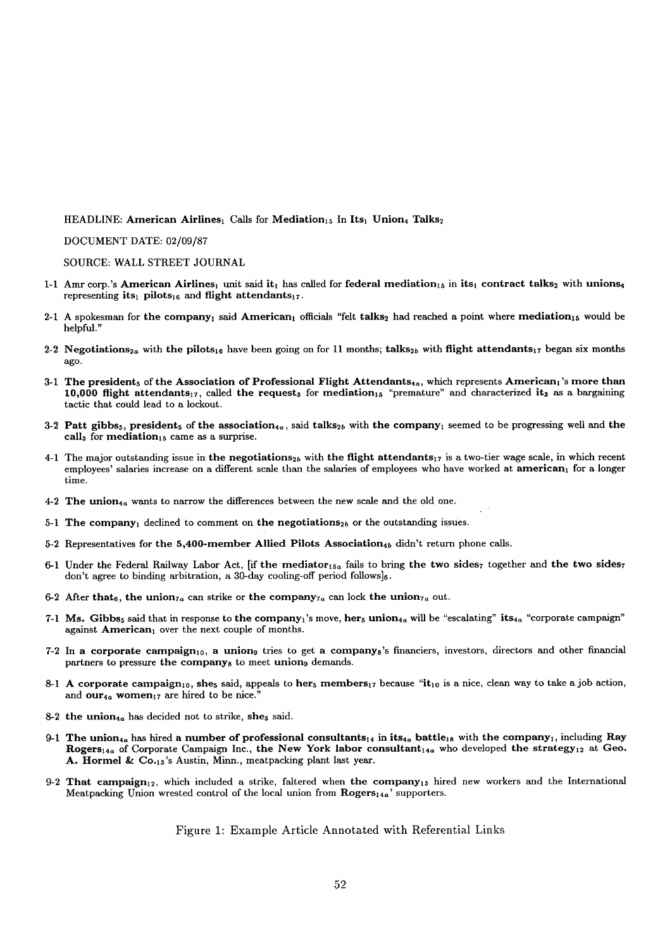HEADLINE: American Airlines<sub>1</sub> Calls for Mediation<sub>15</sub> In Its<sub>1</sub> Union<sub>4</sub> Talks<sub>2</sub>

DOCUMENT DATE: 02/09/87

SOURCE: WALL STREET JOURNAL

- 1-1 Amr corp.'s American Airlines<sub>1</sub> unit said it<sub>1</sub> has called for federal mediation<sub>15</sub> in its<sub>1</sub> contract talks<sub>2</sub> with unions<sub>4</sub> representing its<sub>1</sub> pilots<sub>16</sub> and flight attendants<sub>17</sub>.
- 2-1 A spokesman for the company, said American, officials "felt talks, had reached a point where mediation<sub>15</sub> would be helpful."
- 2-2 Negotiations<sub>2a</sub> with the pilots<sub>16</sub> have been going on for 11 months; talks<sub>2b</sub> with flight attendants<sub>17</sub> began six months ago.
- 3-1 The president<sub>5</sub> of the Association of Professional Flight Attendants<sub>4a</sub>, which represents American<sub>1</sub>'s more than 10,000 flight attendants<sub>17</sub>, called the request<sub>s</sub> for mediation<sub>15</sub> "premature" and characterized it<sub>s</sub> as a bargaining tactic that could lead to a lockout.
- 3-2 Patt gibbs<sub>5</sub>, president<sub>5</sub> of the association<sub>4a</sub>, said talks<sub>2b</sub> with the company<sub>1</sub> seemed to be progressing well and the call<sub>3</sub> for mediation<sub>15</sub> came as a surprise.
- 4-1 The major outstanding issue in the negotiations<sub>2b</sub> with the flight attendants<sub>17</sub> is a two-tier wage scale, in which recent employees' salaries increase on a different scale than the salaries of employees who have worked at american<sub>1</sub> for a longer time.
- 4-2 The union<sub>4a</sub> wants to narrow the differences between the new scale and the old one.
- 5-1 The company<sub>1</sub> declined to comment on the negotiations<sub>2b</sub> or the outstanding issues.
- 5-2 Representatives for the 5,400-member Allied Pilots Association<sub>4b</sub> didn't return phone calls.
- 6-1 Under the Federal Railway Labor Act, [if the mediator<sub>15a</sub> fails to bring the two sides<sub>7</sub> together and the two sides<sub>7</sub> don't agree to binding arbitration, a 30-day cooling-off period follows] $_6$ .
- 6-2 After that<sub>6</sub>, the union<sub>7a</sub> can strike or the company<sub>7a</sub> can lock the union<sub>7a</sub> out.
- 7-1 Ms. Gibbs<sub>5</sub> said that in response to the company<sub>1</sub>'s move, her<sub>s</sub> union<sub>4a</sub> will be "escalating" its<sub>4a</sub> "corporate campaign" against American<sub>1</sub> over the next couple of months.
- 7-2 In a corporate campaign<sub>10</sub>, a union<sub>9</sub> tries to get a company<sub>8</sub>'s financiers, investors, directors and other financial partners to pressure the company<sub>8</sub> to meet union<sub>9</sub> demands.
- 8-1 A corporate campaign<sub>10</sub>, she<sub>5</sub> said, appeals to her<sub>5</sub> members<sub>17</sub> because "it<sub>10</sub> is a nice, clean way to take a job action, and  $our_{4a}$  women<sub>17</sub> are hired to be nice."
- 8-2 the union<sub>4a</sub> has decided not to strike, she<sub>5</sub> said.
- 9-1 The union<sub>4a</sub> has hired a number of professional consultants<sub>14</sub> in its<sub>4a</sub> battle<sub>18</sub> with the company<sub>1</sub>, including Ray Rogers<sub>14a</sub> of Corporate Campaign Inc., the New York labor consultant<sub>14a</sub> who developed the strategy<sub>12</sub> at Geo. A. Hormel & Co.13's Austin, Minn., meatpacking plant last year.
- 9-2 That campaign<sub>12</sub>, which included a strike, faltered when the company<sub>13</sub> hired new workers and the International Meatpacking Union wrested control of the local union from  $Rogers<sub>14a</sub>$ ' supporters.

Figure 1: Example Article Annotated with Referential Links